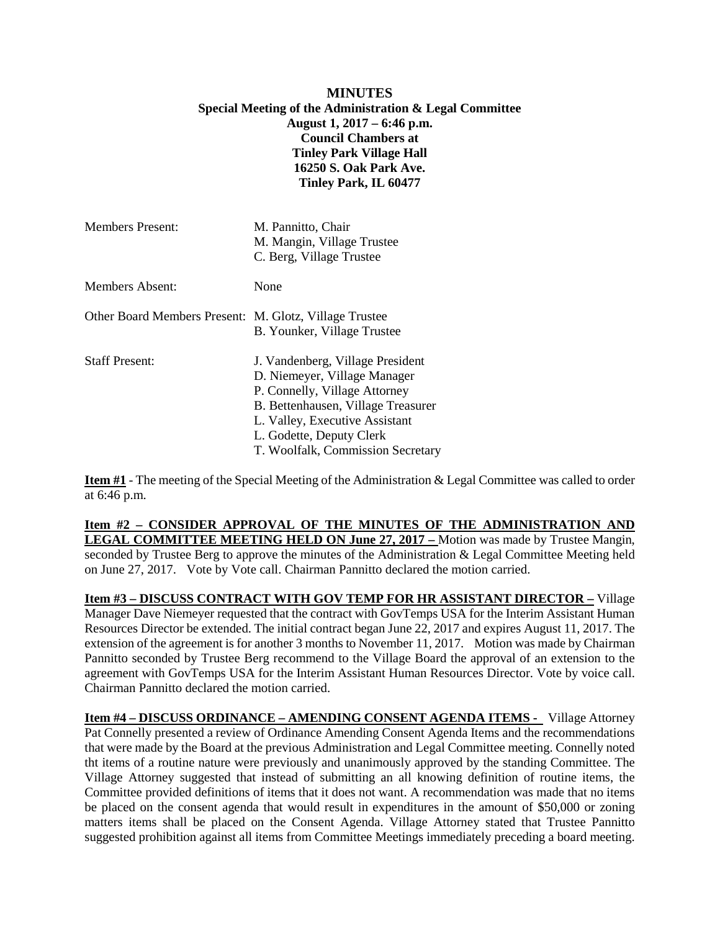## **MINUTES Special Meeting of the Administration & Legal Committee August 1, 2017 – 6:46 p.m. Council Chambers at Tinley Park Village Hall 16250 S. Oak Park Ave. Tinley Park, IL 60477**

| <b>Members Present:</b>                                | M. Pannitto, Chair<br>M. Mangin, Village Trustee<br>C. Berg, Village Trustee                                                                                                                                                               |
|--------------------------------------------------------|--------------------------------------------------------------------------------------------------------------------------------------------------------------------------------------------------------------------------------------------|
| Members Absent:                                        | None                                                                                                                                                                                                                                       |
| Other Board Members Present: M. Glotz, Village Trustee | B. Younker, Village Trustee                                                                                                                                                                                                                |
| <b>Staff Present:</b>                                  | J. Vandenberg, Village President<br>D. Niemeyer, Village Manager<br>P. Connelly, Village Attorney<br>B. Bettenhausen, Village Treasurer<br>L. Valley, Executive Assistant<br>L. Godette, Deputy Clerk<br>T. Woolfalk, Commission Secretary |

**Item #1** - The meeting of the Special Meeting of the Administration & Legal Committee was called to order at 6:46 p.m.

**Item #2 – CONSIDER APPROVAL OF THE MINUTES OF THE ADMINISTRATION AND LEGAL COMMITTEE MEETING HELD ON June 27, 2017 –** Motion was made by Trustee Mangin, seconded by Trustee Berg to approve the minutes of the Administration & Legal Committee Meeting held on June 27, 2017. Vote by Vote call. Chairman Pannitto declared the motion carried.

**Item #3 – DISCUSS CONTRACT WITH GOV TEMP FOR HR ASSISTANT DIRECTOR –** Village Manager Dave Niemeyer requested that the contract with GovTemps USA for the Interim Assistant Human Resources Director be extended. The initial contract began June 22, 2017 and expires August 11, 2017. The extension of the agreement is for another 3 months to November 11, 2017. Motion was made by Chairman Pannitto seconded by Trustee Berg recommend to the Village Board the approval of an extension to the agreement with GovTemps USA for the Interim Assistant Human Resources Director. Vote by voice call. Chairman Pannitto declared the motion carried.

**Item #4 – DISCUSS ORDINANCE – AMENDING CONSENT AGENDA ITEMS -** Village Attorney Pat Connelly presented a review of Ordinance Amending Consent Agenda Items and the recommendations that were made by the Board at the previous Administration and Legal Committee meeting. Connelly noted tht items of a routine nature were previously and unanimously approved by the standing Committee. The Village Attorney suggested that instead of submitting an all knowing definition of routine items, the Committee provided definitions of items that it does not want. A recommendation was made that no items be placed on the consent agenda that would result in expenditures in the amount of \$50,000 or zoning matters items shall be placed on the Consent Agenda. Village Attorney stated that Trustee Pannitto suggested prohibition against all items from Committee Meetings immediately preceding a board meeting.